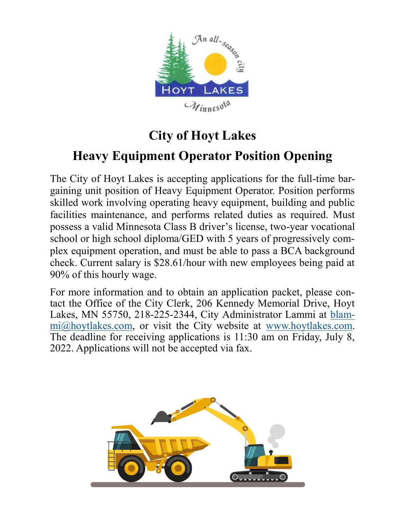

# **City of Hoyt Lakes**

# **Heavy Equipment Operator Position Opening**

The City of Hoyt Lakes is accepting applications for the full-time bargaining unit position of Heavy Equipment Operator. Position performs skilled work involving operating heavy equipment, building and public facilities maintenance, and performs related duties as required. Must possess a valid Minnesota Class B driver's license, two-year vocational school or high school diploma/GED with 5 years of progressively complex equipment operation, and must be able to pass a BCA background check. Current salary is \$28.61/hour with new employees being paid at 90% of this hourly wage.

For more information and to obtain an application packet, please contact the Office of the City Clerk, 206 Kennedy Memorial Drive, Hoyt Lakes, MN 55750, 218-225-2344, City Administrator Lammi at [blam](mailto:blammi@hoytlakes.com)[mi@hoytlakes.com,](mailto:blammi@hoytlakes.com) or visit the City website at [www.hoytlakes.com.](http://www.hoytlakes.com)  The deadline for receiving applications is 11:30 am on Friday, July 8, 2022. Applications will not be accepted via fax.

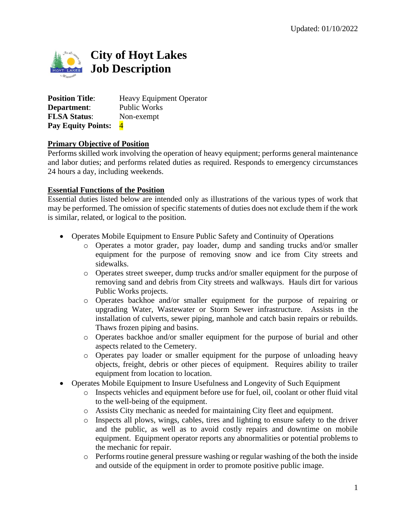

**Position Title:** Heavy Equipment Operator **Department**: Public Works **FLSA Status**: Non-exempt **Pay Equity Points:** 4

### **Primary Objective of Position**

Performs skilled work involving the operation of heavy equipment; performs general maintenance and labor duties; and performs related duties as required. Responds to emergency circumstances 24 hours a day, including weekends.

#### **Essential Functions of the Position**

Essential duties listed below are intended only as illustrations of the various types of work that may be performed. The omission of specific statements of duties does not exclude them if the work is similar, related, or logical to the position*.*

- Operates Mobile Equipment to Ensure Public Safety and Continuity of Operations
	- o Operates a motor grader, pay loader, dump and sanding trucks and/or smaller equipment for the purpose of removing snow and ice from City streets and sidewalks.
	- o Operates street sweeper, dump trucks and/or smaller equipment for the purpose of removing sand and debris from City streets and walkways. Hauls dirt for various Public Works projects.
	- o Operates backhoe and/or smaller equipment for the purpose of repairing or upgrading Water, Wastewater or Storm Sewer infrastructure. Assists in the installation of culverts, sewer piping, manhole and catch basin repairs or rebuilds. Thaws frozen piping and basins.
	- o Operates backhoe and/or smaller equipment for the purpose of burial and other aspects related to the Cemetery.
	- o Operates pay loader or smaller equipment for the purpose of unloading heavy objects, freight, debris or other pieces of equipment. Requires ability to trailer equipment from location to location.
- Operates Mobile Equipment to Insure Usefulness and Longevity of Such Equipment
	- o Inspects vehicles and equipment before use for fuel, oil, coolant or other fluid vital to the well-being of the equipment.
	- o Assists City mechanic as needed for maintaining City fleet and equipment.
	- o Inspects all plows, wings, cables, tires and lighting to ensure safety to the driver and the public, as well as to avoid costly repairs and downtime on mobile equipment. Equipment operator reports any abnormalities or potential problems to the mechanic for repair.
	- $\circ$  Performs routine general pressure washing or regular washing of the both the inside and outside of the equipment in order to promote positive public image.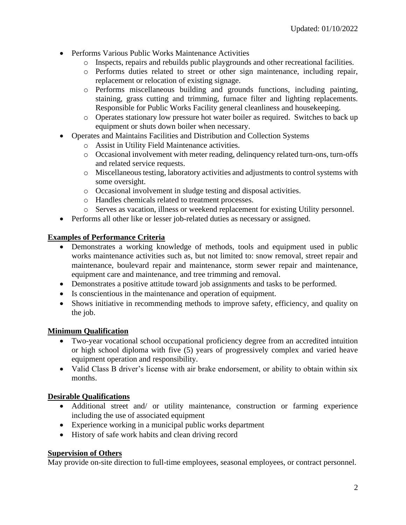- Performs Various Public Works Maintenance Activities
	- o Inspects, repairs and rebuilds public playgrounds and other recreational facilities.
	- o Performs duties related to street or other sign maintenance, including repair, replacement or relocation of existing signage.
	- o Performs miscellaneous building and grounds functions, including painting, staining, grass cutting and trimming, furnace filter and lighting replacements. Responsible for Public Works Facility general cleanliness and housekeeping.
	- o Operates stationary low pressure hot water boiler as required. Switches to back up equipment or shuts down boiler when necessary.
- Operates and Maintains Facilities and Distribution and Collection Systems
	- o Assist in Utility Field Maintenance activities.
	- o Occasional involvement with meter reading, delinquency related turn-ons, turn-offs and related service requests.
	- o Miscellaneous testing, laboratory activities and adjustments to control systems with some oversight.
	- o Occasional involvement in sludge testing and disposal activities.
	- o Handles chemicals related to treatment processes.
	- o Serves as vacation, illness or weekend replacement for existing Utility personnel.
- Performs all other like or lesser job-related duties as necessary or assigned.

### **Examples of Performance Criteria**

- Demonstrates a working knowledge of methods, tools and equipment used in public works maintenance activities such as, but not limited to: snow removal, street repair and maintenance, boulevard repair and maintenance, storm sewer repair and maintenance, equipment care and maintenance, and tree trimming and removal.
- Demonstrates a positive attitude toward job assignments and tasks to be performed.
- Is conscientious in the maintenance and operation of equipment.
- Shows initiative in recommending methods to improve safety, efficiency, and quality on the job.

### **Minimum Qualification**

- Two-year vocational school occupational proficiency degree from an accredited intuition or high school diploma with five (5) years of progressively complex and varied heave equipment operation and responsibility.
- Valid Class B driver's license with air brake endorsement, or ability to obtain within six months.

### **Desirable Qualifications**

- Additional street and/ or utility maintenance, construction or farming experience including the use of associated equipment
- Experience working in a municipal public works department
- History of safe work habits and clean driving record

### **Supervision of Others**

May provide on-site direction to full-time employees, seasonal employees, or contract personnel.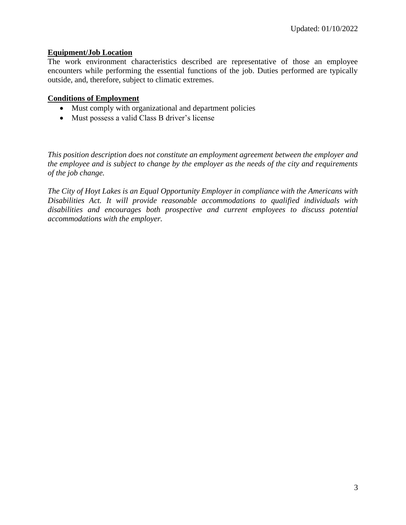### **Equipment/Job Location**

The work environment characteristics described are representative of those an employee encounters while performing the essential functions of the job. Duties performed are typically outside, and, therefore, subject to climatic extremes.

#### **Conditions of Employment**

- Must comply with organizational and department policies
- Must possess a valid Class B driver's license

*This position description does not constitute an employment agreement between the employer and the employee and is subject to change by the employer as the needs of the city and requirements of the job change.*

*The City of Hoyt Lakes is an Equal Opportunity Employer in compliance with the Americans with Disabilities Act. It will provide reasonable accommodations to qualified individuals with disabilities and encourages both prospective and current employees to discuss potential accommodations with the employer.*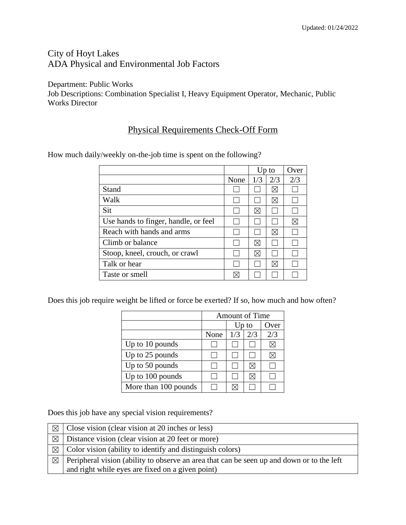## City of Hoyt Lakes ADA Physical and Environmental Job Factors

Department: Public Works

Job Descriptions: Combination Specialist I, Heavy Equipment Operator, Mechanic, Public Works Director

## Physical Requirements Check-Off Form

|                                      |      |     | Up to       | Over        |
|--------------------------------------|------|-----|-------------|-------------|
|                                      | None | 1/3 | 2/3         | 2/3         |
| Stand                                |      |     | $\boxtimes$ |             |
| Walk                                 |      |     | $\boxtimes$ |             |
| Sit                                  |      | ⊠   |             |             |
| Use hands to finger, handle, or feel |      |     |             | $\boxtimes$ |
| Reach with hands and arms            |      |     | $\boxtimes$ |             |
| Climb or balance                     |      | ⊠   |             |             |
| Stoop, kneel, crouch, or crawl       |      | ⊠   |             |             |
| Talk or hear                         |      |     | Ⅺ           |             |
| Taste or smell                       |      |     |             |             |

How much daily/weekly on-the-job time is spent on the following?

Does this job require weight be lifted or force be exerted? If so, how much and how often?

|                      | <b>Amount of Time</b> |       |     |      |
|----------------------|-----------------------|-------|-----|------|
|                      |                       | Up to |     | Over |
|                      | None                  | 1/3   | 2/3 | 2/3  |
| Up to 10 pounds      |                       |       |     |      |
| Up to 25 pounds      |                       |       |     |      |
| Up to 50 pounds      |                       |       | M   |      |
| Up to 100 pounds     |                       |       | ΙXι |      |
| More than 100 pounds |                       |       |     |      |

Does this job have any special vision requirements?

| $\boxtimes$ | Close vision (clear vision at 20 inches or less)                                          |
|-------------|-------------------------------------------------------------------------------------------|
| $\boxtimes$ | Distance vision (clear vision at 20 feet or more)                                         |
| $\boxtimes$ | Color vision (ability to identify and distinguish colors)                                 |
| $\boxtimes$ | Peripheral vision (ability to observe an area that can be seen up and down or to the left |
|             | and right while eyes are fixed on a given point)                                          |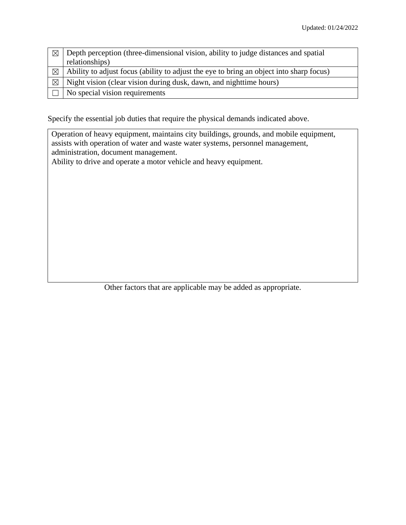| $\boxtimes$ | Depth perception (three-dimensional vision, ability to judge distances and spatial      |
|-------------|-----------------------------------------------------------------------------------------|
|             | relationships)                                                                          |
| $\boxtimes$ | Ability to adjust focus (ability to adjust the eye to bring an object into sharp focus) |
| $\boxtimes$ | Night vision (clear vision during dusk, dawn, and nighttime hours)                      |
|             | No special vision requirements                                                          |

Specify the essential job duties that require the physical demands indicated above.

Operation of heavy equipment, maintains city buildings, grounds, and mobile equipment, assists with operation of water and waste water systems, personnel management, administration, document management.

Ability to drive and operate a motor vehicle and heavy equipment.

Other factors that are applicable may be added as appropriate.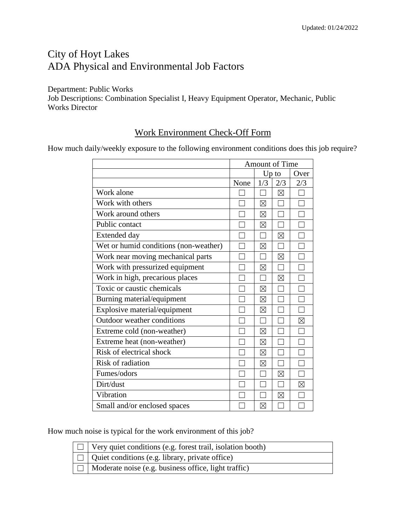## City of Hoyt Lakes ADA Physical and Environmental Job Factors

Department: Public Works Job Descriptions: Combination Specialist I, Heavy Equipment Operator, Mechanic, Public Works Director

### Work Environment Check-Off Form

How much daily/weekly exposure to the following environment conditions does this job require?

|                                       | Amount of Time |             |             |      |
|---------------------------------------|----------------|-------------|-------------|------|
|                                       |                |             | $Up$ to     | Over |
|                                       | None           | 1/3         | 2/3         | 2/3  |
| Work alone                            |                |             | $\boxtimes$ |      |
| Work with others                      |                | $\boxtimes$ |             |      |
| Work around others                    |                | $\boxtimes$ |             |      |
| Public contact                        |                | $\boxtimes$ |             |      |
| Extended day                          |                |             | $\boxtimes$ |      |
| Wet or humid conditions (non-weather) |                | ⊠           |             |      |
| Work near moving mechanical parts     |                |             | $\boxtimes$ |      |
| Work with pressurized equipment       |                | $\boxtimes$ |             |      |
| Work in high, precarious places       |                |             | $\boxtimes$ |      |
| Toxic or caustic chemicals            |                | ⊠           |             |      |
| Burning material/equipment            |                | $\boxtimes$ |             |      |
| Explosive material/equipment          |                | ⊠           |             |      |
| Outdoor weather conditions            |                |             |             | ⊠    |
| Extreme cold (non-weather)            |                | $\boxtimes$ |             |      |
| Extreme heat (non-weather)            |                | $\boxtimes$ |             |      |
| Risk of electrical shock              |                | $\boxtimes$ |             |      |
| Risk of radiation                     |                | $\boxtimes$ |             |      |
| Fumes/odors                           |                |             | $\boxtimes$ |      |
| Dirt/dust                             |                |             |             | ⊠    |
| Vibration                             |                |             | $\boxtimes$ |      |
| Small and/or enclosed spaces          |                | $\boxtimes$ |             |      |

How much noise is typical for the work environment of this job?

| $\Box$ Very quiet conditions (e.g. forest trail, isolation booth) |
|-------------------------------------------------------------------|
| $\Box$ Quiet conditions (e.g. library, private office)            |
| $\Box$ Moderate noise (e.g. business office, light traffic)       |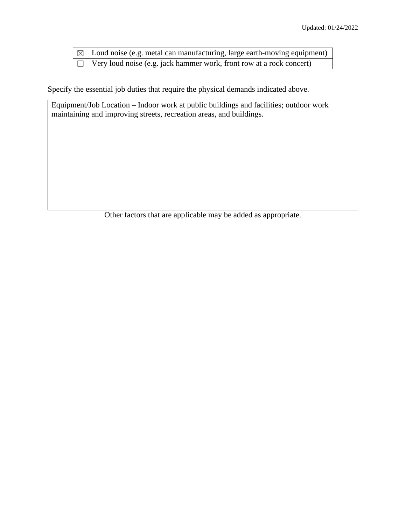| $\vert \boxtimes \vert$ Loud noise (e.g. metal can manufacturing, large earth-moving equipment) $\vert$ |
|---------------------------------------------------------------------------------------------------------|
| $\Box$ Very loud noise (e.g. jack hammer work, front row at a rock concert)                             |

Specify the essential job duties that require the physical demands indicated above.

Equipment/Job Location – Indoor work at public buildings and facilities; outdoor work maintaining and improving streets, recreation areas, and buildings.

Other factors that are applicable may be added as appropriate.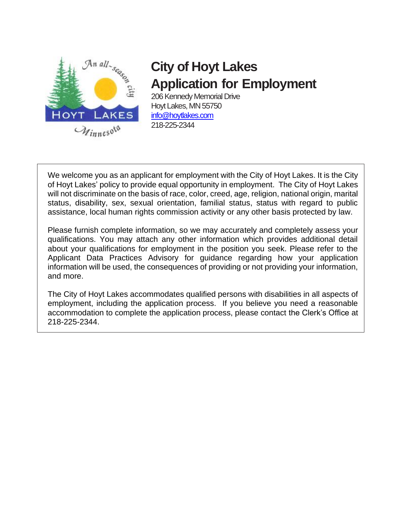

# **City of Hoyt Lakes Application for Employment**

206 Kennedy Memorial Drive Hoyt Lakes, MN 55750 [info@hoytlakes.com](mailto:info@hoytlakes.com) 218-225-2344

We welcome you as an applicant for employment with the City of Hoyt Lakes. It is the City of Hoyt Lakes' policy to provide equal opportunity in employment. The City of Hoyt Lakes will not discriminate on the basis of race, color, creed, age, religion, national origin, marital status, disability, sex, sexual orientation, familial status, status with regard to public assistance, local human rights commission activity or any other basis protected by law.

Please furnish complete information, so we may accurately and completely assess your qualifications. You may attach any other information which provides additional detail about your qualifications for employment in the position you seek. Please refer to the Applicant Data Practices Advisory for guidance regarding how your application information will be used, the consequences of providing or not providing your information, and more.

The City of Hoyt Lakes accommodates qualified persons with disabilities in all aspects of employment, including the application process. If you believe you need a reasonable accommodation to complete the application process, please contact the Clerk's Office at 218-225-2344.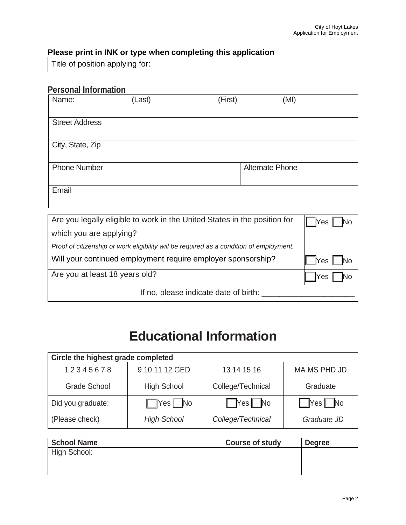### **Please print in INK or type when completing this application**

Title of position applying for:

### **Personal Information**

| Name:                 | (Last)                                                                    | (First)                | (MI) |
|-----------------------|---------------------------------------------------------------------------|------------------------|------|
| <b>Street Address</b> |                                                                           |                        |      |
| City, State, Zip      |                                                                           |                        |      |
| <b>Phone Number</b>   |                                                                           | <b>Alternate Phone</b> |      |
| Email                 |                                                                           |                        |      |
|                       |                                                                           |                        |      |
|                       | Are you legally eligible to work in the United States in the position for |                        | Yes  |

| which you are applying?                                                                 |     |
|-----------------------------------------------------------------------------------------|-----|
| Proof of citizenship or work eligibility will be required as a condition of employment. |     |
| Will your continued employment require employer sponsorship?                            | Nes |
| Are you at least 18 years old?                                                          | Yes |
| If no, please indicate date of birth:                                                   |     |

# **Educational Information**

| Circle the highest grade completed |                      |                      |                      |  |
|------------------------------------|----------------------|----------------------|----------------------|--|
| 12345678                           | 9 10 11 12 GED       | 13 14 15 16          | MA MS PHD JD         |  |
| <b>Grade School</b>                | <b>High School</b>   | College/Technical    | Graduate             |  |
| Did you graduate:                  | $\Box$ Yes $\Box$ No | $\Box$ Yes $\Box$ No | $\Box$ Yes $\Box$ No |  |
| (Please check)                     | <b>High School</b>   | College/Technical    | Graduate JD          |  |

| <b>School Name</b> | <b>Course of study</b> | <b>Degree</b> |
|--------------------|------------------------|---------------|
| High School:       |                        |               |
|                    |                        |               |
|                    |                        |               |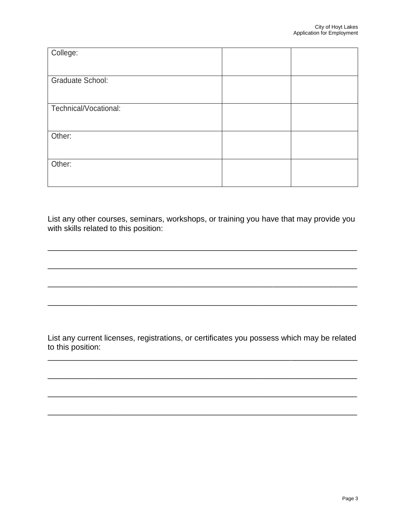List any other courses, seminars, workshops, or training you have that may provide you with skills related to this position:

\_\_\_\_\_\_\_\_\_\_\_\_\_\_\_\_\_\_\_\_\_\_\_\_\_\_\_\_\_\_\_\_\_\_\_\_\_\_\_\_\_\_\_\_\_\_\_\_\_\_\_\_\_\_\_\_\_\_\_\_\_\_\_\_\_\_\_\_\_\_

\_\_\_\_\_\_\_\_\_\_\_\_\_\_\_\_\_\_\_\_\_\_\_\_\_\_\_\_\_\_\_\_\_\_\_\_\_\_\_\_\_\_\_\_\_\_\_\_\_\_\_\_\_\_\_\_\_\_\_\_\_\_\_\_\_\_\_\_\_\_

\_\_\_\_\_\_\_\_\_\_\_\_\_\_\_\_\_\_\_\_\_\_\_\_\_\_\_\_\_\_\_\_\_\_\_\_\_\_\_\_\_\_\_\_\_\_\_\_\_\_\_\_\_\_\_\_\_\_\_\_\_\_\_\_\_\_\_\_\_\_

\_\_\_\_\_\_\_\_\_\_\_\_\_\_\_\_\_\_\_\_\_\_\_\_\_\_\_\_\_\_\_\_\_\_\_\_\_\_\_\_\_\_\_\_\_\_\_\_\_\_\_\_\_\_\_\_\_\_\_\_\_\_\_\_\_\_\_\_\_\_

List any current licenses, registrations, or certificates you possess which may be related to this position:

\_\_\_\_\_\_\_\_\_\_\_\_\_\_\_\_\_\_\_\_\_\_\_\_\_\_\_\_\_\_\_\_\_\_\_\_\_\_\_\_\_\_\_\_\_\_\_\_\_\_\_\_\_\_\_\_\_\_\_\_\_\_\_\_\_\_\_\_\_\_

\_\_\_\_\_\_\_\_\_\_\_\_\_\_\_\_\_\_\_\_\_\_\_\_\_\_\_\_\_\_\_\_\_\_\_\_\_\_\_\_\_\_\_\_\_\_\_\_\_\_\_\_\_\_\_\_\_\_\_\_\_\_\_\_\_\_\_\_\_\_

\_\_\_\_\_\_\_\_\_\_\_\_\_\_\_\_\_\_\_\_\_\_\_\_\_\_\_\_\_\_\_\_\_\_\_\_\_\_\_\_\_\_\_\_\_\_\_\_\_\_\_\_\_\_\_\_\_\_\_\_\_\_\_\_\_\_\_\_\_\_

\_\_\_\_\_\_\_\_\_\_\_\_\_\_\_\_\_\_\_\_\_\_\_\_\_\_\_\_\_\_\_\_\_\_\_\_\_\_\_\_\_\_\_\_\_\_\_\_\_\_\_\_\_\_\_\_\_\_\_\_\_\_\_\_\_\_\_\_\_\_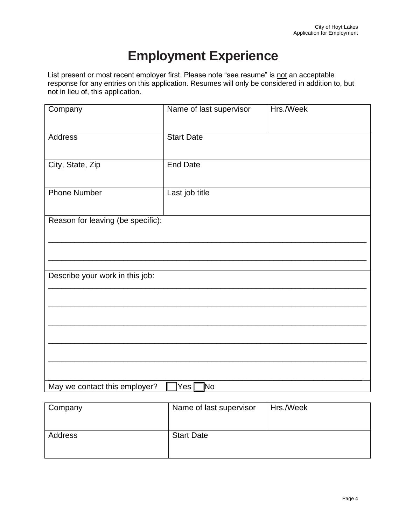# **Employment Experience**

List present or most recent employer first. Please note "see resume" is not an acceptable response for any entries on this application. Resumes will only be considered in addition to, but not in lieu of, this application.

| Company                           | Name of last supervisor<br>Hrs./Week |  |
|-----------------------------------|--------------------------------------|--|
| Address                           | <b>Start Date</b>                    |  |
| City, State, Zip                  | <b>End Date</b>                      |  |
| <b>Phone Number</b>               | Last job title                       |  |
| Reason for leaving (be specific): |                                      |  |
|                                   |                                      |  |
| Describe your work in this job:   |                                      |  |
|                                   |                                      |  |
|                                   |                                      |  |
|                                   |                                      |  |
|                                   |                                      |  |
| May we contact this employer?     | Yes $\square$<br>]No                 |  |

| Company | Name of last supervisor | Hrs./Week |
|---------|-------------------------|-----------|
| Address | <b>Start Date</b>       |           |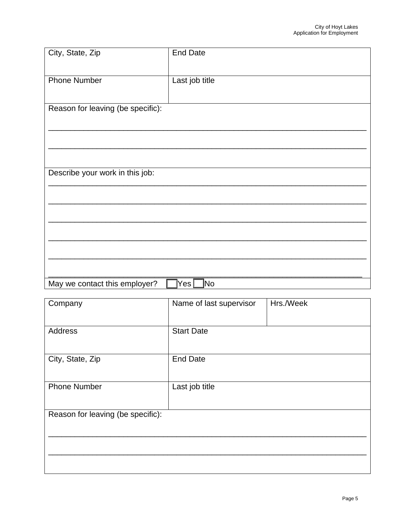| City, State, Zip                  | <b>End Date</b>        |
|-----------------------------------|------------------------|
| <b>Phone Number</b>               | Last job title         |
|                                   |                        |
| Reason for leaving (be specific): |                        |
|                                   |                        |
|                                   |                        |
| Describe your work in this job:   |                        |
|                                   |                        |
|                                   |                        |
|                                   |                        |
|                                   |                        |
| May we contact this employer?     | ]No<br>$\mathsf{YesL}$ |

| Company                           | Hrs./Week<br>Name of last supervisor |  |  |
|-----------------------------------|--------------------------------------|--|--|
| Address                           | <b>Start Date</b>                    |  |  |
| City, State, Zip                  | <b>End Date</b>                      |  |  |
| <b>Phone Number</b>               | Last job title                       |  |  |
| Reason for leaving (be specific): |                                      |  |  |
|                                   |                                      |  |  |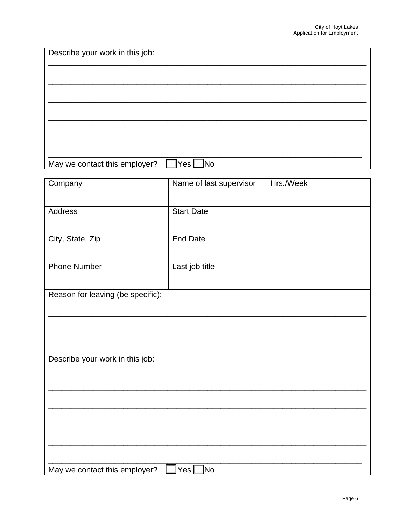| Describe your work in this job: |                         |           |
|---------------------------------|-------------------------|-----------|
|                                 |                         |           |
|                                 |                         |           |
|                                 |                         |           |
|                                 |                         |           |
|                                 |                         |           |
|                                 |                         |           |
| May we contact this employer?   | ]No<br>Yes <sub>l</sub> |           |
| Company                         | Name of last supervisor | Hrs./Week |
|                                 |                         |           |
| Address                         | <b>Start Date</b>       |           |
|                                 |                         |           |
| City, State, Zip                | <b>End Date</b>         |           |
|                                 |                         |           |
| <b>Phone Number</b>             | Last job title          |           |

Reason for leaving (be specific):

Describe your work in this job:

| May<br>this employer? '<br>' we contact |  |
|-----------------------------------------|--|
|                                         |  |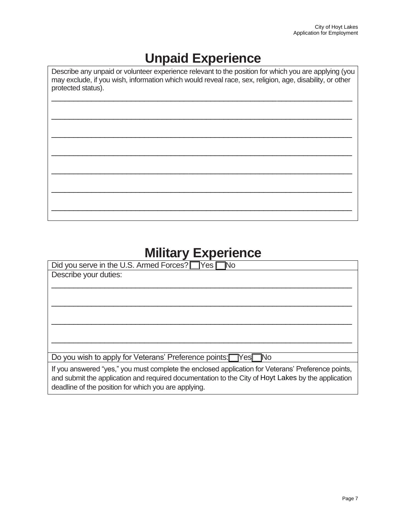# **Unpaid Experience**

Describe any unpaid or volunteer experience relevant to the position for which you are applying (you may exclude, if you wish, information which would reveal race, sex, religion, age, disability, or other protected status).

\_\_\_\_\_\_\_\_\_\_\_\_\_\_\_\_\_\_\_\_\_\_\_\_\_\_\_\_\_\_\_\_\_\_\_\_\_\_\_\_\_\_\_\_\_\_\_\_\_\_\_\_\_\_\_\_\_\_\_\_\_\_\_\_\_\_\_\_

\_\_\_\_\_\_\_\_\_\_\_\_\_\_\_\_\_\_\_\_\_\_\_\_\_\_\_\_\_\_\_\_\_\_\_\_\_\_\_\_\_\_\_\_\_\_\_\_\_\_\_\_\_\_\_\_\_\_\_\_\_\_\_\_\_\_\_\_

\_\_\_\_\_\_\_\_\_\_\_\_\_\_\_\_\_\_\_\_\_\_\_\_\_\_\_\_\_\_\_\_\_\_\_\_\_\_\_\_\_\_\_\_\_\_\_\_\_\_\_\_\_\_\_\_\_\_\_\_\_\_\_\_\_\_\_\_

\_\_\_\_\_\_\_\_\_\_\_\_\_\_\_\_\_\_\_\_\_\_\_\_\_\_\_\_\_\_\_\_\_\_\_\_\_\_\_\_\_\_\_\_\_\_\_\_\_\_\_\_\_\_\_\_\_\_\_\_\_\_\_\_\_\_\_\_

\_\_\_\_\_\_\_\_\_\_\_\_\_\_\_\_\_\_\_\_\_\_\_\_\_\_\_\_\_\_\_\_\_\_\_\_\_\_\_\_\_\_\_\_\_\_\_\_\_\_\_\_\_\_\_\_\_\_\_\_\_\_\_\_\_\_\_\_

\_\_\_\_\_\_\_\_\_\_\_\_\_\_\_\_\_\_\_\_\_\_\_\_\_\_\_\_\_\_\_\_\_\_\_\_\_\_\_\_\_\_\_\_\_\_\_\_\_\_\_\_\_\_\_\_\_\_\_\_\_\_\_\_\_\_\_\_

\_\_\_\_\_\_\_\_\_\_\_\_\_\_\_\_\_\_\_\_\_\_\_\_\_\_\_\_\_\_\_\_\_\_\_\_\_\_\_\_\_\_\_\_\_\_\_\_\_\_\_\_\_\_\_\_\_\_\_\_\_\_\_\_\_\_\_\_

# **Military Experience**

| Did you serve in the U.S. Armed Forces? Yes                                                                                                                                                              |
|----------------------------------------------------------------------------------------------------------------------------------------------------------------------------------------------------------|
| Describe your duties:                                                                                                                                                                                    |
|                                                                                                                                                                                                          |
|                                                                                                                                                                                                          |
|                                                                                                                                                                                                          |
|                                                                                                                                                                                                          |
|                                                                                                                                                                                                          |
|                                                                                                                                                                                                          |
|                                                                                                                                                                                                          |
|                                                                                                                                                                                                          |
| Do you wish to apply for Veterans' Preference points: Yes No                                                                                                                                             |
| If you answered "yes," you must complete the enclosed application for Veterans' Preference points,<br>and submit the application and required documentation to the City of Hoyt Lakes by the application |
| deadline of the position for which you are applying.                                                                                                                                                     |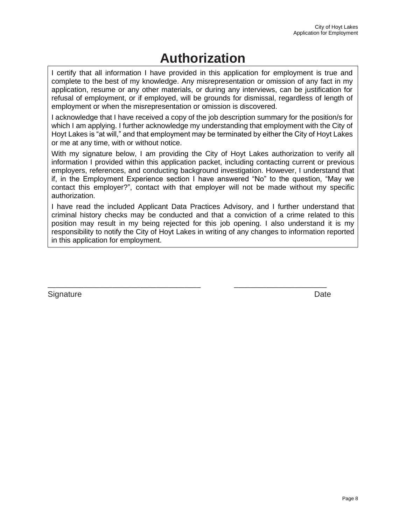# **Authorization**

I certify that all information I have provided in this application for employment is true and complete to the best of my knowledge. Any misrepresentation or omission of any fact in my application, resume or any other materials, or during any interviews, can be justification for refusal of employment, or if employed, will be grounds for dismissal, regardless of length of employment or when the misrepresentation or omission is discovered.

I acknowledge that I have received a copy of the job description summary for the position/s for which I am applying. I further acknowledge my understanding that employment with the City of Hoyt Lakes is "at will," and that employment may be terminated by either the City of Hoyt Lakes or me at any time, with or without notice.

With my signature below, I am providing the City of Hoyt Lakes authorization to verify all information I provided within this application packet, including contacting current or previous employers, references, and conducting background investigation. However, I understand that if, in the Employment Experience section I have answered "No" to the question, "May we contact this employer?", contact with that employer will not be made without my specific authorization.

I have read the included Applicant Data Practices Advisory, and I further understand that criminal history checks may be conducted and that a conviction of a crime related to this position may result in my being rejected for this job opening. I also understand it is my responsibility to notify the City of Hoyt Lakes in writing of any changes to information reported in this application for employment.

\_\_\_\_\_\_\_\_\_\_\_\_\_\_\_\_\_\_\_\_\_\_\_\_\_\_\_\_\_\_\_\_\_\_\_\_\_\_ \_\_\_\_\_\_\_\_\_\_\_\_\_\_\_\_\_\_\_\_\_\_\_

Signature Date **Date**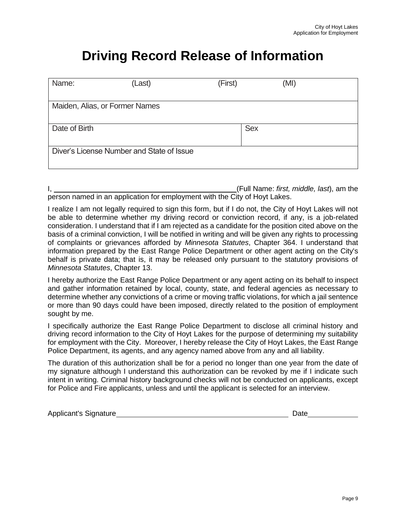# **Driving Record Release of Information**

| Name:                                     | (Last) | (First)    | (MI) |  |
|-------------------------------------------|--------|------------|------|--|
| Maiden, Alias, or Former Names            |        |            |      |  |
| Date of Birth                             |        | <b>Sex</b> |      |  |
| Diver's License Number and State of Issue |        |            |      |  |

|                                                                            | (Full Name: first, middle, last), am the |  |  |
|----------------------------------------------------------------------------|------------------------------------------|--|--|
| person named in an application for employment with the City of Hoyt Lakes. |                                          |  |  |

I realize I am not legally required to sign this form, but if I do not, the City of Hoyt Lakes will not be able to determine whether my driving record or conviction record, if any, is a job-related consideration. I understand that if I am rejected as a candidate for the position cited above on the basis of a criminal conviction, I will be notified in writing and will be given any rights to processing of complaints or grievances afforded by *Minnesota Statutes*, Chapter 364. I understand that information prepared by the East Range Police Department or other agent acting on the City's behalf is private data; that is, it may be released only pursuant to the statutory provisions of *Minnesota Statutes*, Chapter 13.

I hereby authorize the East Range Police Department or any agent acting on its behalf to inspect and gather information retained by local, county, state, and federal agencies as necessary to determine whether any convictions of a crime or moving traffic violations, for which a jail sentence or more than 90 days could have been imposed, directly related to the position of employment sought by me.

I specifically authorize the East Range Police Department to disclose all criminal history and driving record information to the City of Hoyt Lakes for the purpose of determining my suitability for employment with the City. Moreover, I hereby release the City of Hoyt Lakes, the East Range Police Department, its agents, and any agency named above from any and all liability.

The duration of this authorization shall be for a period no longer than one year from the date of my signature although I understand this authorization can be revoked by me if I indicate such intent in writing. Criminal history background checks will not be conducted on applicants, except for Police and Fire applicants, unless and until the applicant is selected for an interview.

| <b>Applicant's Signature</b> | Date |
|------------------------------|------|
|------------------------------|------|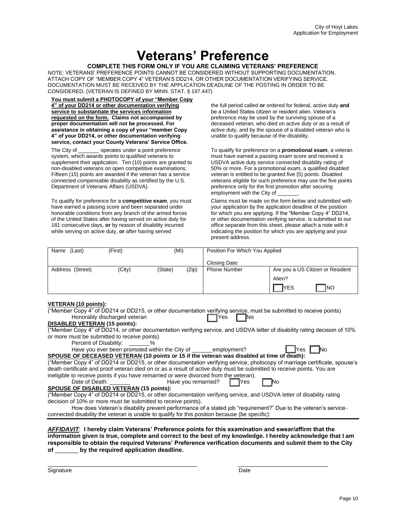# **Veterans' Preference**

#### **COMPLETE THIS FORM ONLY IF YOU ARE CLAIMING VETERANS' PREFERENCE**

NOTE: VETERANS' PREFERENCE POINTS CANNOT BE CONSIDERED WITHOUT SUPPORTING DOCUMENTATION. ATTACH COPY OF "MEMBER COPY 4" VETERAN'S DD214, OR OTHER DOCUMENTATION VERIFYING SERVICE. DOCUMENTATION MUST BE RECEIVED BY THE APPLICATION DEADLINE OF THE POSTING IN ORDER TO BE CONSIDERED**.** (VETERAN IS DEFINED BY MINN. STAT. § 197.447)

**You must submit a PHOTOCOPY of your "Member Copy 4" of your DD214 or other documentation verifying service to substantiate the services information requested on the form. Claims not accompanied by proper documentation will not be processed. For assistance in obtaining a copy of your "member Copy 4" of your DD214, or other documentation verifying service, contact your County Veterans' Service Office.**

The City of \_\_\_\_\_\_\_ operates under a point preference system, which awards points to qualified veterans to supplement their application. Ten (10) points are granted to non-disabled veterans on open competitive examinations; Fifteen (15) points are awarded if the veteran has a service connected compensable disability as certified by the U.S. Department of Veterans Affairs (USDVA).

To qualify for preference for a **competitive exam**, you must have earned a passing score and been separated under honorable conditions from any branch of the armed forces of the United States after having served on active duty for 181 consecutive days, **or** by reason of disability incurred while serving on active duty, **or** after having served

the full period called **or** ordered for federal, active duty **and** be a United States citizen or resident alien. Veteran's preference may be used by the surviving spouse of a deceased veteran, who died on active duty or as a result of active duty, and by the spouse of a disabled veteran who is unable to qualify because of the disability.

To qualify for preference on a **promotional exam**, a veteran must have earned a passing exam score and received a USDVA active duty service connected disability rating of 50% or more. For a promotional exam, a qualified disabled veteran is entitled to be granted five (5) points. Disabled veterans eligible for such preference may use the five points preference only for the first promotion after securing employment with the City of

Claims must be made on the form below and submitted with your application by the application deadline of the position for which you are applying. If the "Member Copy 4" DD214, or other documentation verifying service, is submitted to our office separate from this sheet, please attach a note with it indicating the position for which you are applying and your present address.

| Name<br>(Last)   | (First) | (MI)    |       | Position For Which You Applied                          |                    |  |
|------------------|---------|---------|-------|---------------------------------------------------------|--------------------|--|
|                  |         |         |       | Closing Date:                                           |                    |  |
| Address (Street) | (City)  | (State) | (Zip) | <b>Phone Number</b><br>Are you a US Citizen or Resident |                    |  |
|                  |         |         |       |                                                         | Alien?             |  |
|                  |         |         |       |                                                         | `Ino<br><b>YES</b> |  |

#### **VETERAN (10 points):**

| ("Member Copy 4" of DD214 or DD215, or other documentation verifying service, must be submitted to receive points)         |
|----------------------------------------------------------------------------------------------------------------------------|
| Honorably discharged veteran<br>1Yes.                                                                                      |
| <b>DISABLED VETERAN (15 points):</b>                                                                                       |
| ("Member Copy 4" of DD214, or other documentation verifying service, and USDVA letter of disability rating decision of 10% |
| or more must be submitted to receive points)                                                                               |
| Percent of Disability: %                                                                                                   |
| <b>No</b><br>Have you ever been promoted within the City of ______employment?<br>lYes I                                    |
| SPOUSE OF DECEASED VETERAN (10 points or 15 if the veteran was disabled at time of death):                                 |
| ("Member Copy 4" of DD214 or DD215, or other documentation verifying service, photocopy of marriage certificate, spouse's  |
| death certificate and proof veteran died on or as a result of active duty must be submitted to receive points. You are     |
| ineligible to receive points if you have remarried or were divorced from the veteran).                                     |
| <b>IYes</b>                                                                                                                |
| <b>SPOUSE OF DISABLED VETERAN (15 points):</b>                                                                             |
| ("Member Copy 4" of DD214 or DD215, or other documentation verifying service, and USDVA letter of disability rating        |
| decision of 10% or more must be submitted to receive points).                                                              |
| How does Veteran's disability prevent performance of a stated job "requirement?" Due to the veteran's service-             |
| connected disability the veteran is unable to qualify for this position because (be specific):                             |
|                                                                                                                            |
| AFFIDAVIT: I hereby claim Veterans' Preference points for this examination and swear/affirm that the                       |

*AFFIDAVIT*: **I hereby claim Veterans' Preference points for this examination and swear/affirm that the information given is true, complete and correct to the best of my knowledge. I hereby acknowledge that I am responsible to obtain the required Veterans' Preference verification documents and submit them to the City of** \_\_\_\_\_\_\_ **by the required application deadline.**

\_\_\_\_\_\_\_\_\_\_\_\_\_\_\_\_\_\_\_\_\_\_\_\_\_\_\_\_\_\_\_\_\_\_\_\_\_\_\_\_\_\_\_\_\_ \_\_\_\_\_\_\_\_\_\_\_\_\_\_\_\_\_\_\_\_\_\_\_\_\_\_\_

Signature Date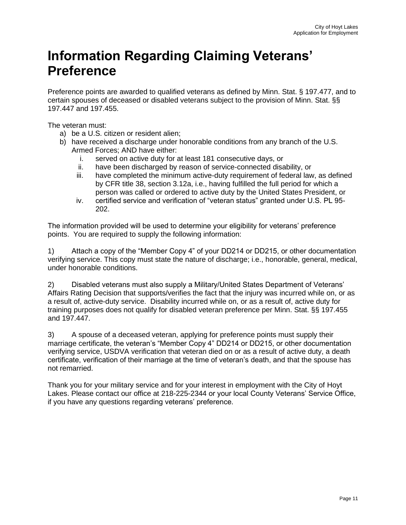# **Information Regarding Claiming Veterans' Preference**

Preference points are awarded to qualified veterans as defined by Minn. Stat. § 197.477, and to certain spouses of deceased or disabled veterans subject to the provision of Minn. Stat. §§ 197.447 and 197.455.

The veteran must:

- a) be a U.S. citizen or resident alien;
- b) have received a discharge under honorable conditions from any branch of the U.S. Armed Forces; AND have either:
	- i. served on active duty for at least 181 consecutive days, or
	- ii. have been discharged by reason of service-connected disability, or
	- iii. have completed the minimum active-duty requirement of federal law, as defined by CFR title 38, section 3.12a, i.e., having fulfilled the full period for which a person was called or ordered to active duty by the United States President, or
	- iv. certified service and verification of "veteran status" granted under U.S. PL 95- 202.

The information provided will be used to determine your eligibility for veterans' preference points. You are required to supply the following information:

1) Attach a copy of the "Member Copy 4" of your DD214 or DD215, or other documentation verifying service. This copy must state the nature of discharge; i.e., honorable, general, medical, under honorable conditions.

2) Disabled veterans must also supply a Military/United States Department of Veterans' Affairs Rating Decision that supports/verifies the fact that the injury was incurred while on, or as a result of, active-duty service. Disability incurred while on, or as a result of, active duty for training purposes does not qualify for disabled veteran preference per Minn. Stat. §§ 197.455 and 197.447.

3) A spouse of a deceased veteran, applying for preference points must supply their marriage certificate, the veteran's "Member Copy 4" DD214 or DD215, or other documentation verifying service, USDVA verification that veteran died on or as a result of active duty, a death certificate, verification of their marriage at the time of veteran's death, and that the spouse has not remarried.

Thank you for your military service and for your interest in employment with the City of Hoyt Lakes. Please contact our office at 218-225-2344 or your local County Veterans' Service Office, if you have any questions regarding veterans' preference.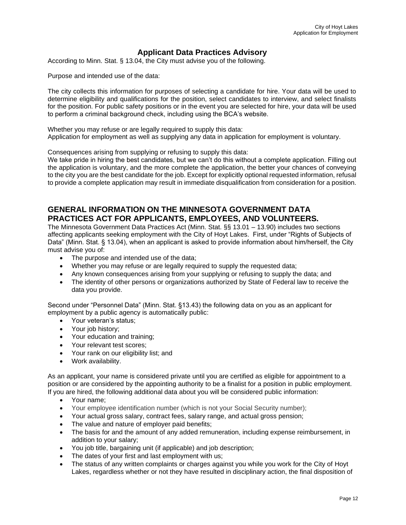### **Applicant Data Practices Advisory**

According to Minn. Stat. § 13.04, the City must advise you of the following.

Purpose and intended use of the data:

The city collects this information for purposes of selecting a candidate for hire. Your data will be used to determine eligibility and qualifications for the position, select candidates to interview, and select finalists for the position. For public safety positions or in the event you are selected for hire, your data will be used to perform a criminal background check, including using the BCA's website.

Whether you may refuse or are legally required to supply this data: Application for employment as well as supplying any data in application for employment is voluntary.

Consequences arising from supplying or refusing to supply this data:

We take pride in hiring the best candidates, but we can't do this without a complete application. Filling out the application is voluntary, and the more complete the application, the better your chances of conveying to the city you are the best candidate for the job. Except for explicitly optional requested information, refusal to provide a complete application may result in immediate disqualification from consideration for a position.

### **GENERAL INFORMATION ON THE MINNESOTA GOVERNMENT DATA PRACTICES ACT FOR APPLICANTS, EMPLOYEES, AND VOLUNTEERS.**

The Minnesota Government Data Practices Act (Minn. Stat. §§ 13.01 – 13.90) includes two sections affecting applicants seeking employment with the City of Hoyt Lakes. First, under "Rights of Subjects of Data" (Minn. Stat. § 13.04), when an applicant is asked to provide information about him/herself, the City must advise you of:

- The purpose and intended use of the data;
- Whether you may refuse or are legally required to supply the requested data;
- Any known consequences arising from your supplying or refusing to supply the data; and
- The identity of other persons or organizations authorized by State of Federal law to receive the data you provide.

Second under "Personnel Data" (Minn. Stat. §13.43) the following data on you as an applicant for employment by a public agency is automatically public:

- Your veteran's status;
- Your job history;
- Your education and training;
- Your relevant test scores;
- Your rank on our eligibility list; and
- Work availability.

As an applicant, your name is considered private until you are certified as eligible for appointment to a position or are considered by the appointing authority to be a finalist for a position in public employment. If you are hired, the following additional data about you will be considered public information:

- Your name;
- Your employee identification number (which is not your Social Security number);
- Your actual gross salary, contract fees, salary range, and actual gross pension;
- The value and nature of employer paid benefits;
- The basis for and the amount of any added remuneration, including expense reimbursement, in addition to your salary;
- You job title, bargaining unit (if applicable) and job description;
- The dates of your first and last employment with us;
- The status of any written complaints or charges against you while you work for the City of Hoyt Lakes, regardless whether or not they have resulted in disciplinary action, the final disposition of